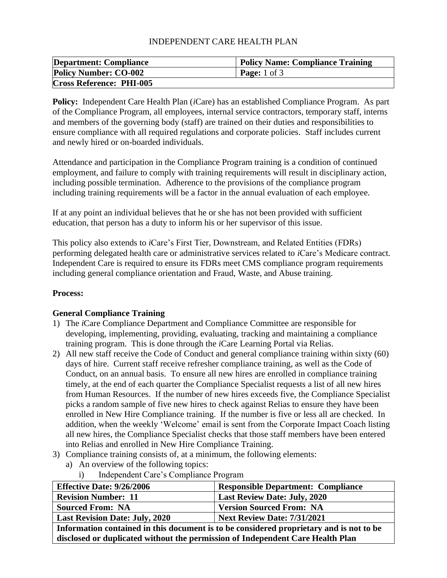# INDEPENDENT CARE HEALTH PLAN

| <b>Department: Compliance</b>   | <b>Policy Name: Compliance Training</b> |
|---------------------------------|-----------------------------------------|
| <b>Policy Number: CO-002</b>    | <b>Page:</b> 1 of 3                     |
| <b>Cross Reference: PHI-005</b> |                                         |

**Policy:** Independent Care Health Plan (*i*Care) has an established Compliance Program. As part of the Compliance Program, all employees, internal service contractors, temporary staff, interns and members of the governing body (staff) are trained on their duties and responsibilities to ensure compliance with all required regulations and corporate policies. Staff includes current and newly hired or on-boarded individuals.

Attendance and participation in the Compliance Program training is a condition of continued employment, and failure to comply with training requirements will result in disciplinary action, including possible termination. Adherence to the provisions of the compliance program including training requirements will be a factor in the annual evaluation of each employee.

If at any point an individual believes that he or she has not been provided with sufficient education, that person has a duty to inform his or her supervisor of this issue.

This policy also extends to *i*Care's First Tier, Downstream, and Related Entities (FDRs) performing delegated health care or administrative services related to *i*Care's Medicare contract. Independent Care is required to ensure its FDRs meet CMS compliance program requirements including general compliance orientation and Fraud, Waste, and Abuse training.

#### **Process:**

#### **General Compliance Training**

- 1) The *i*Care Compliance Department and Compliance Committee are responsible for developing, implementing, providing, evaluating, tracking and maintaining a compliance training program. This is done through the *i*Care Learning Portal via Relias.
- 2) All new staff receive the Code of Conduct and general compliance training within sixty (60) days of hire. Current staff receive refresher compliance training, as well as the Code of Conduct, on an annual basis. To ensure all new hires are enrolled in compliance training timely, at the end of each quarter the Compliance Specialist requests a list of all new hires from Human Resources. If the number of new hires exceeds five, the Compliance Specialist picks a random sample of five new hires to check against Relias to ensure they have been enrolled in New Hire Compliance training. If the number is five or less all are checked. In addition, when the weekly 'Welcome' email is sent from the Corporate Impact Coach listing all new hires, the Compliance Specialist checks that those staff members have been entered into Relias and enrolled in New Hire Compliance Training.
- 3) Compliance training consists of, at a minimum, the following elements:
	- a) An overview of the following topics:
		- i) Independent Care's Compliance Program

| <b>Effective Date: 9/26/2006</b>                                                        | <b>Responsible Department: Compliance</b> |
|-----------------------------------------------------------------------------------------|-------------------------------------------|
| <b>Revision Number: 11</b>                                                              | Last Review Date: July, 2020              |
| <b>Sourced From: NA</b>                                                                 | <b>Version Sourced From: NA</b>           |
| <b>Last Revision Date: July, 2020</b>                                                   | <b>Next Review Date: 7/31/2021</b>        |
| Information contained in this document is to be considered proprietary and is not to be |                                           |

**Information contained in this document is to be considered proprietary and is not to be disclosed or duplicated without the permission of Independent Care Health Plan**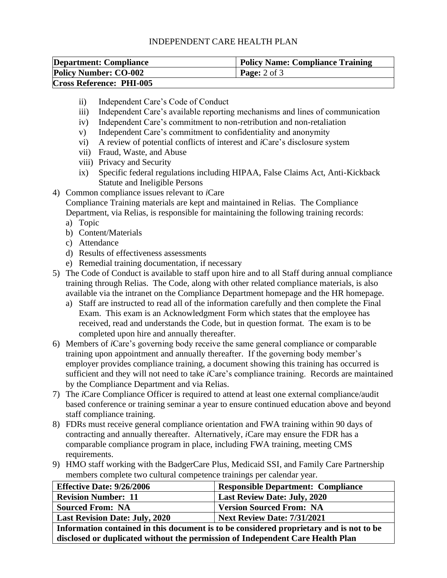### INDEPENDENT CARE HEALTH PLAN

| <b>Department: Compliance</b>   | <b>Policy Name: Compliance Training</b> |
|---------------------------------|-----------------------------------------|
| <b>Policy Number: CO-002</b>    | <b>Page:</b> $2 \text{ of } 3$          |
| <b>Cross Reference: PHI-005</b> |                                         |

- ii) Independent Care's Code of Conduct
- iii) Independent Care's available reporting mechanisms and lines of communication
- iv) Independent Care's commitment to non-retribution and non-retaliation
- v) Independent Care's commitment to confidentiality and anonymity
- vi) A review of potential conflicts of interest and *i*Care's disclosure system
- vii) Fraud, Waste, and Abuse
- viii) Privacy and Security
- ix) Specific federal regulations including HIPAA, False Claims Act, Anti-Kickback Statute and Ineligible Persons
- 4) Common compliance issues relevant to *i*Care

Compliance Training materials are kept and maintained in Relias. The Compliance Department, via Relias, is responsible for maintaining the following training records:

- a) Topic
- b) Content/Materials
- c) Attendance
- d) Results of effectiveness assessments
- e) Remedial training documentation, if necessary
- 5) The Code of Conduct is available to staff upon hire and to all Staff during annual compliance training through Relias. The Code, along with other related compliance materials, is also available via the intranet on the Compliance Department homepage and the HR homepage.
	- a) Staff are instructed to read all of the information carefully and then complete the Final Exam. This exam is an Acknowledgment Form which states that the employee has received, read and understands the Code, but in question format. The exam is to be completed upon hire and annually thereafter.
- 6) Members of *i*Care's governing body receive the same general compliance or comparable training upon appointment and annually thereafter. If the governing body member's employer provides compliance training, a document showing this training has occurred is sufficient and they will not need to take *i*Care's compliance training. Records are maintained by the Compliance Department and via Relias.
- 7) The *i*Care Compliance Officer is required to attend at least one external compliance/audit based conference or training seminar a year to ensure continued education above and beyond staff compliance training.
- 8) FDRs must receive general compliance orientation and FWA training within 90 days of contracting and annually thereafter. Alternatively, *i*Care may ensure the FDR has a comparable compliance program in place, including FWA training, meeting CMS requirements.
- 9) HMO staff working with the BadgerCare Plus, Medicaid SSI, and Family Care Partnership members complete two cultural competence trainings per calendar year.

| <b>Effective Date: 9/26/2006</b>                                                        | <b>Responsible Department: Compliance</b> |
|-----------------------------------------------------------------------------------------|-------------------------------------------|
| <b>Revision Number: 11</b>                                                              | <b>Last Review Date: July, 2020</b>       |
| <b>Sourced From: NA</b>                                                                 | <b>Version Sourced From: NA</b>           |
| <b>Last Revision Date: July, 2020</b>                                                   | Next Review Date: 7/31/2021               |
| Information contained in this document is to be considered proprietary and is not to be |                                           |

**disclosed or duplicated without the permission of Independent Care Health Plan**